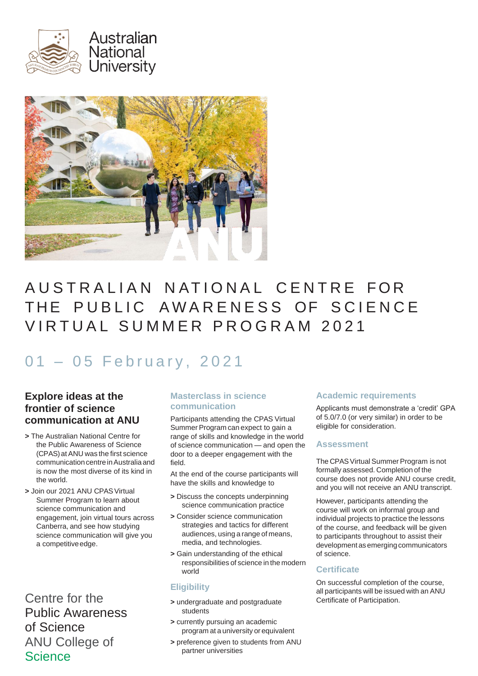



# AUSTRALIAN NATIONAL CENTRE FOR THE PUBLIC AWARENESS OF SCIENCE VIRTUAL SUMMER PROGRAM 2021

# 01 - 05 February, 2021

# **Explore ideas at the frontier of science communication at ANU**

- **>** The Australian National Centre for the Public Awareness of Science (CPAS)atANU was the first science communication centre in Australia and is now the most diverse of its kind in the world.
- **>** Join our 2021 ANU CPASVirtual Summer Program to learn about science communication and engagement, join virtual tours across Canberra, and see how studying science communication will give you a competitive edge.

Centre for the Public Awareness of Science ANU College of **Science** 

# **Masterclass in science communication**

Participants attending the CPAS Virtual Summer Program can expect to gain a range of skills and knowledge in the world of science communication — and open the door to a deeper engagement with the field.

At the end of the course participants will have the skills and knowledge to

- **>** Discuss the concepts underpinning science communication practice
- **>** Consider science communication strategies and tactics for different audiences, using a range of means, media, and technologies.
- **>** Gain understanding of the ethical responsibilities of science in the modern world

# **Eligibility**

- **>** undergraduate and postgraduate students
- **>** currently pursuing an academic program at a university or equivalent
- **>** preference given to students from ANU partner universities

# **Academic requirements**

Applicants must demonstrate a 'credit' GPA of 5.0/7.0 (or very similar) in order to be eligible for consideration.

#### **Assessment**

The CPAS Virtual Summer Program is not formally assessed. Completion of the course does not provide ANU course credit, and you will not receive an ANU transcript.

However, participants attending the course will work on informal group and individual projects to practice the lessons of the course, and feedback will be given to participants throughout to assist their development asemerging communicators of science.

# **Certificate**

On successful completion of the course, all participants will be issued with an ANU Certificate of Participation.